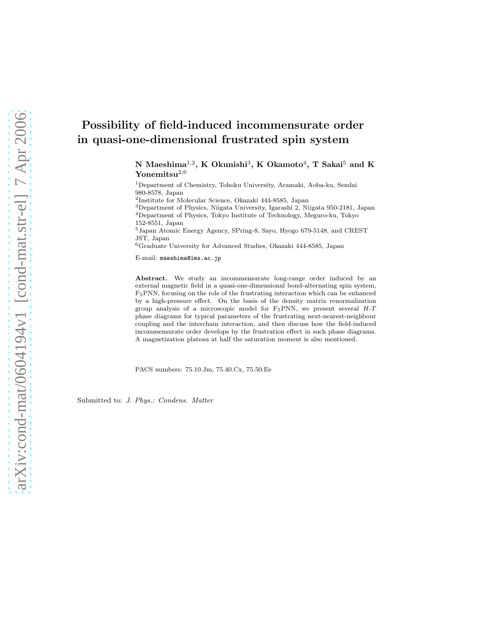# Possibility of field-induced incommensurate order in quasi-one-dimensional frustrated spin system

N Maeshima $^{1,2}$ , K Okunishi $^3$ , K Okamoto $^4$ , T Sakai $^5$  and K Yonemitsu $^{2,6}$ 

<sup>1</sup>Department of Chemistry, Tohoku University, Aramaki, Aoba-ku, Sendai 980-8578, Japan

2 Institute for Molecular Science, Okazaki 444-8585, Japan

<sup>3</sup>Department of Physics, Niigata University, Igarashi 2, Niigata 950-2181, Japan <sup>4</sup>Department of Physics, Tokyo Institute of Technology, Meguro-ku, Tokyo

<sup>5</sup>Japan Atomic Energy Agency, SPring-8, Sayo, Hyogo 679-5148, and CREST JST, Japan

 $^6$ Graduate University for Advanced Studies, Okazaki 444-8585, Japan

E-mail: maeshima@ims.ac.jp

Abstract. We study an incommensurate long-range order induced by an external magnetic field in a quasi-one-dimensional bond-alternating spin system, F5PNN, focusing on the role of the frustrating interaction which can be enhanced by a high-pressure effect. On the basis of the density matrix renormalization group analysis of a microscopic model for  $F_5PNN$ , we present several  $H-T$ phase diagrams for typical parameters of the frustrating next-nearest-neighbour coupling and the interchain interaction, and then discuss how the field-induced incommensurate order develops by the frustration effect in such phase diagrams. A magnetization plateau at half the saturation moment is also mentioned.

PACS numbers: 75.10.Jm, 75.40.Cx, 75.50.Ee

Submitted to: *J. Phys.: Condens. Matter*

<sup>152-8551,</sup> Japan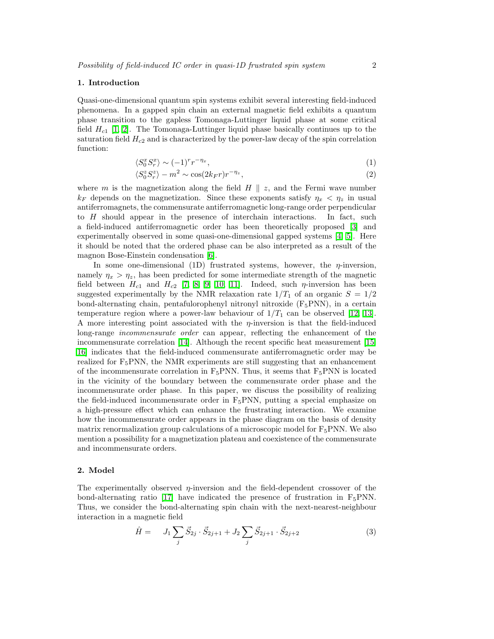## 1. Introduction

Quasi-one-dimensional quantum spin systems exhibit several interesting field-induced phenomena. In a gapped spin chain an external magnetic field exhibits a quantum phase transition to the gapless Tomonaga-Luttinger liquid phase at some critical field  $H_{c1}$  [\[1,](#page-8-0) [2\]](#page-8-1). The Tomonaga-Luttinger liquid phase basically continues up to the saturation field  $H_{c2}$  and is characterized by the power-law decay of the spin correlation function:

$$
\langle S_0^x S_r^x \rangle \sim (-1)^r r^{-\eta_x},\tag{1}
$$

$$
\langle S_0^z S_r^z \rangle - m^2 \sim \cos(2k_F r) r^{-\eta_z},\tag{2}
$$

<span id="page-1-0"></span>where m is the magnetization along the field  $H \parallel z$ , and the Fermi wave number  $k_F$  depends on the magnetization. Since these exponents satisfy  $\eta_x < \eta_z$  in usual antiferromagnets, the commensurate antiferromagnetic long-range order perpendicular to H should appear in the presence of interchain interactions. In fact, such a field-induced antiferromagnetic order has been theoretically proposed [\[3\]](#page-8-2) and experimentally observed in some quasi-one-dimensional gapped systems [\[4,](#page-8-3) [5\]](#page-8-4). Here it should be noted that the ordered phase can be also interpreted as a result of the magnon Bose-Einstein condensation [\[6\]](#page-8-5).

In some one-dimensional (1D) frustrated systems, however, the  $\eta$ -inversion, namely  $\eta_x > \eta_z$ , has been predicted for some intermediate strength of the magnetic field between  $H_{c1}$  and  $H_{c2}$  [\[7,](#page-8-6) [8,](#page-8-7) [9,](#page-8-8) [10,](#page-8-9) [11\]](#page-8-10). Indeed, such  $\eta$ -inversion has been suggested experimentally by the NMR relaxation rate  $1/T_1$  of an organic  $S = 1/2$ bond-alternating chain, pentafulorophenyl nitronyl nitroxide  $(F_5PNN)$ , in a certain temperature region where a power-law behaviour of  $1/T_1$  can be observed [\[12,](#page-8-11) [13\]](#page-8-12). A more interesting point associated with the  $\eta$ -inversion is that the field-induced long-range incommensurate order can appear, reflecting the enhancement of the incommensurate correlation [\[14\]](#page-8-13). Although the recent specific heat measurement [\[15,](#page-8-14) [16\]](#page-8-15) indicates that the field-induced commensurate antiferromagnetic order may be realized for  $F_5PNN$ , the NMR experiments are still suggesting that an enhancement of the incommensurate correlation in  $F_5$ PNN. Thus, it seems that  $F_5$ PNN is located in the vicinity of the boundary between the commensurate order phase and the incommensurate order phase. In this paper, we discuss the possibility of realizing the field-induced incommensurate order in  $F_5PNN$ , putting a special emphasize on a high-pressure effect which can enhance the frustrating interaction. We examine how the incommensurate order appears in the phase diagram on the basis of density matrix renormalization group calculations of a microscopic model for  $F_5PNN$ . We also mention a possibility for a magnetization plateau and coexistence of the commensurate and incommensurate orders.

#### 2. Model

<span id="page-1-1"></span>The experimentally observed  $\eta$ -inversion and the field-dependent crossover of the bond-alternating ratio [\[17\]](#page-8-16) have indicated the presence of frustration in  $F_5PNN$ . Thus, we consider the bond-alternating spin chain with the next-nearest-neighbour interaction in a magnetic field

$$
\hat{H} = J_1 \sum_j \vec{S}_{2j} \cdot \vec{S}_{2j+1} + J_2 \sum_j \vec{S}_{2j+1} \cdot \vec{S}_{2j+2}
$$
\n(3)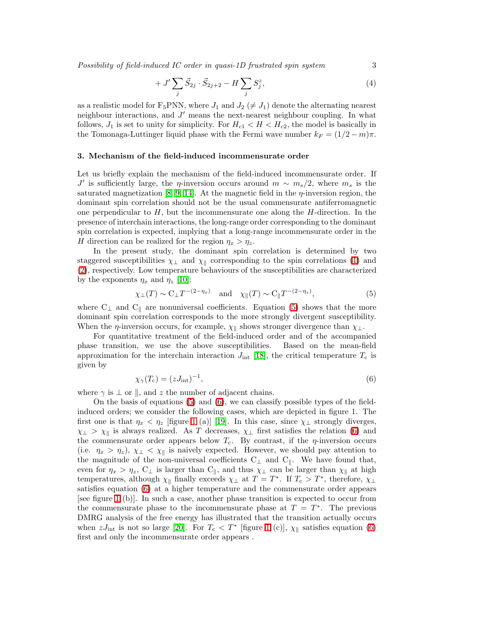Possibility of field-induced IC order in quasi-1D frustrated spin system 3

$$
+ J' \sum_{j} \vec{S}_{2j} \cdot \vec{S}_{2j+2} - H \sum_{j} S_{j}^{z}, \tag{4}
$$

as a realistic model for F<sub>5</sub>PNN, where  $J_1$  and  $J_2 \neq J_1$ ) denote the alternating nearest neighbour interactions, and  $J'$  means the next-nearest neighbour coupling. In what follows,  $J_1$  is set to unity for simplicity. For  $H_{c1} < H < H_{c2}$ , the model is basically in the Tomonaga-Luttinger liquid phase with the Fermi wave number  $k_F = (1/2 - m)\pi$ .

## 3. Mechanism of the field-induced incommensurate order

Let us briefly explain the mechanism of the field-induced incommensurate order. If J' is sufficiently large, the *η*-inversion occurs around  $m \sim m_s/2$ , where  $m_s$  is the saturated magnetization [\[8,](#page-8-7) [9,](#page-8-8) [14\]](#page-8-13). At the magnetic field in the  $\eta$ -inversion region, the dominant spin correlation should not be the usual commensurate antiferromagnetic one perpendicular to  $H$ , but the incommensurate one along the  $H$ -direction. In the presence of interchain interactions, the long-range order corresponding to the dominant spin correlation is expected, implying that a long-range incommensurate order in the H direction can be realized for the region  $\eta_x > \eta_z$ .

In the present study, the dominant spin correlation is determined by two staggered susceptibilities  $\chi_{\perp}$  and  $\chi_{\parallel}$  corresponding to the spin correlations [\(1\)](#page-1-0) and [\(2\)](#page-1-0), respectively. Low temperature behaviours of the susceptibilities are characterized by the exponents  $\eta_x$  and  $\eta_z$  [\[10\]](#page-8-9):

$$
\chi_{\perp}(T) \sim C_{\perp} T^{-(2-\eta_x)} \quad \text{and} \quad \chi_{\parallel}(T) \sim C_{\parallel} T^{-(2-\eta_z)},\tag{5}
$$

<span id="page-2-0"></span>where  $C_{\perp}$  and  $C_{\parallel}$  are nonuniversal coefficients. Equation [\(5\)](#page-2-0) shows that the more dominant spin correlation corresponds to the more strongly divergent susceptibility. When the  $\eta$ -inversion occurs, for example,  $\chi_{\parallel}$  shows stronger divergence than  $\chi_{\perp}$ .

For quantitative treatment of the field-induced order and of the accompanied phase transition, we use the above susceptibilities. Based on the mean-field approximation for the interchain interaction  $J_{\text{int}}$  [\[18\]](#page-8-17), the critical temperature  $T_c$  is given by

$$
\chi_{\gamma}(T_{\rm c}) = (zJ_{\rm int})^{-1},\tag{6}
$$

<span id="page-2-1"></span>where  $\gamma$  is  $\perp$  or  $\parallel$ , and z the number of adjacent chains.

On the basis of equations  $(5)$  and  $(6)$ , we can classify possible types of the fieldinduced orders; we consider the following cases, which are depicted in figure 1. The first one is that  $\eta_x < \eta_z$  [figure [1](#page-3-0) (a)] [\[19\]](#page-8-18). In this case, since  $\chi_{\perp}$  strongly diverges,  $\chi_{\perp} > \chi_{\parallel}$  is always realized. As T decreases,  $\chi_{\perp}$  first satisfies the relation [\(6\)](#page-2-1) and the commensurate order appears below  $T_c$ . By contrast, if the  $\eta$ -inversion occurs (i.e.  $\eta_x > \eta_z$ ),  $\chi_{\perp} < \chi_{\parallel}$  is naively expected. However, we should pay attention to the magnitude of the non-universal coefficients  $C_{\perp}$  and  $C_{\parallel}$ . We have found that, even for  $\eta_x > \eta_z$ , C<sub>⊥</sub> is larger than C<sub>||</sub>, and thus  $\chi_{\perp}$  can be larger than  $\chi_{\parallel}$  at high temperatures, although  $\chi_{\parallel}$  finally exceeds  $\chi_{\perp}$  at  $T = T^*$ . If  $T_c > T^*$ , therefore,  $\chi_{\perp}$ satisfies equation [\(6\)](#page-2-1) at a higher temperature and the commensurate order appears [see figure [1](#page-3-0) (b)]. In such a case, another phase transition is expected to occur from the commensurate phase to the incommensurate phase at  $T = T^*$ . The previous DMRG analysis of the free energy has illustrated that the transition actually occurs when  $zJ_{\text{int}}$  is not so large [\[20\]](#page-8-19). For  $T_c < T^*$  [figure [1](#page-3-0) (c)],  $\chi_{\parallel}$  satisfies equation [\(6\)](#page-2-1) first and only the incommensurate order appears .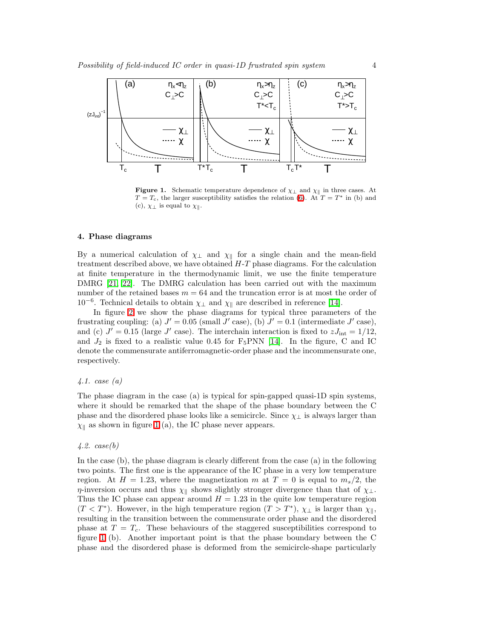

<span id="page-3-0"></span>**Figure 1.** Schematic temperature dependence of  $\chi_{\perp}$  and  $\chi_{\parallel}$  in three cases. At  $T = T_c$ , the larger susceptibility satisfies the relation [\(6\)](#page-2-1). At  $T = T^*$  in (b) and (c),  $\chi_{\perp}$  is equal to  $\chi_{\parallel}$ .

#### 4. Phase diagrams

By a numerical calculation of  $\chi_{\perp}$  and  $\chi_{\parallel}$  for a single chain and the mean-field treatment described above, we have obtained  $H-T$  phase diagrams. For the calculation at finite temperature in the thermodynamic limit, we use the finite temperature DMRG [\[21,](#page-8-20) [22\]](#page-8-21). The DMRG calculation has been carried out with the maximum number of the retained bases  $m = 64$  and the truncation error is at most the order of 10<sup>-6</sup>. Technical details to obtain  $\chi_{\perp}$  and  $\chi_{\parallel}$  are described in reference [\[14\]](#page-8-13).

In figure [2](#page-4-0) we show the phase diagrams for typical three parameters of the frustrating coupling: (a)  $J' = 0.05$  (small  $J'$  case), (b)  $J' = 0.1$  (intermediate  $J'$  case), and (c)  $J' = 0.15$  (large J' case). The interchain interaction is fixed to  $zJ_{\text{int}} = 1/12$ , and  $J_2$  is fixed to a realistic value 0.45 for  $F_5PNN$  [\[14\]](#page-8-13). In the figure, C and IC denote the commensurate antiferromagnetic-order phase and the incommensurate one, respectively.

# 4.1. case (a)

The phase diagram in the case (a) is typical for spin-gapped quasi-1D spin systems, where it should be remarked that the shape of the phase boundary between the C phase and the disordered phase looks like a semicircle. Since  $\chi_{\perp}$  is always larger than  $\chi_{\parallel}$  as shown in figure [1](#page-3-0) (a), the IC phase never appears.

#### $4.2. \ \ \case(b)$

In the case (b), the phase diagram is clearly different from the case (a) in the following two points. The first one is the appearance of the IC phase in a very low temperature region. At  $H = 1.23$ , where the magnetization m at  $T = 0$  is equal to  $m_s/2$ , the  $\eta$ -inversion occurs and thus  $\chi_{\parallel}$  shows slightly stronger divergence than that of  $\chi_{\perp}$ . Thus the IC phase can appear around  $H = 1.23$  in the quite low temperature region  $(T < T^*)$ . However, in the high temperature region  $(T > T^*)$ ,  $\chi_{\perp}$  is larger than  $\chi_{\parallel}$ , resulting in the transition between the commensurate order phase and the disordered phase at  $T = T_c$ . These behaviours of the staggered susceptibilities correspond to figure [1](#page-3-0) (b). Another important point is that the phase boundary between the C phase and the disordered phase is deformed from the semicircle-shape particularly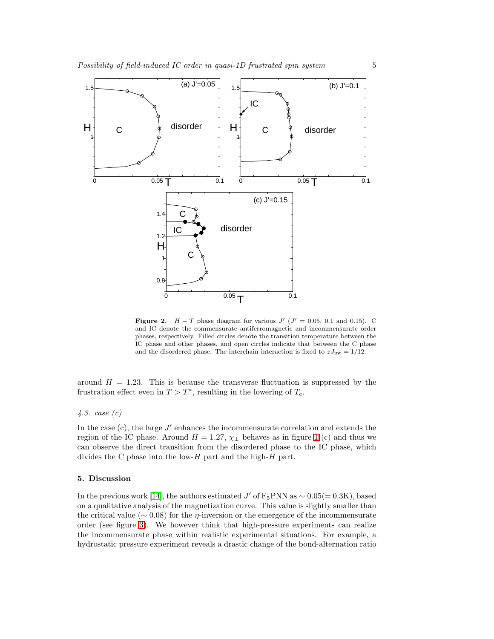

<span id="page-4-0"></span>Figure 2.  $H - T$  phase diagram for various  $J'$  ( $J' = 0.05, 0.1$  and 0.15). C and IC denote the commensurate antiferromagnetic and incommensurate order phases, respectively. Filled circles denote the transition temperature between the IC phase and other phases, and open circles indicate that between the C phase and the disordered phase. The interchain interaction is fixed to  $zJ_{\text{int}} = 1/12$ .

around  $H = 1.23$ . This is because the transverse fluctuation is suppressed by the frustration effect even in  $T > T^*$ , resulting in the lowering of  $T_c$ .

# 4.3. case (c)

In the case  $(c)$ , the large  $J'$  enhances the incommensurate correlation and extends the region of the IC phase. Around  $H = 1.27$  $H = 1.27$  $H = 1.27$ ,  $\chi_{\perp}$  behaves as in figure 1 (c) and thus we can observe the direct transition from the disordered phase to the IC phase, which divides the C phase into the low- $H$  part and the high- $H$  part.

## 5. Discussion

In the previous work [\[14\]](#page-8-13), the authors estimated  $J'$  of  $F_5$ PNN as  $\sim 0.05 (= 0.3K)$ , based on a qualitative analysis of the magnetization curve. This value is slightly smaller than the critical value ( $\sim 0.08$ ) for the  $\eta$ -inversion or the emergence of the incommensurate order (see figure [3\)](#page-5-0). We however think that high-pressure experiments can realize the incommensurate phase within realistic experimental situations. For example, a hydrostatic pressure experiment reveals a drastic change of the bond-alternation ratio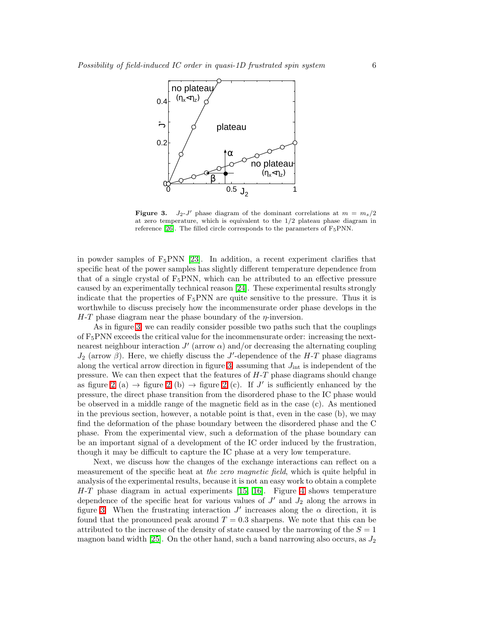

<span id="page-5-0"></span>Figure 3.  $J_2-J'$  phase diagram of the dominant correlations at  $m = m_s/2$ at zero temperature, which is equivalent to the  $1/2$  plateau phase diagram in reference [\[26\]](#page-8-22). The filled circle corresponds to the parameters of  $F_5PNN$ .

in powder samples of  $F_5PNN$  [\[23\]](#page-8-23). In addition, a recent experiment clarifies that specific heat of the power samples has slightly different temperature dependence from that of a single crystal of  $F_5PNN$ , which can be attributed to an effective pressure caused by an experimentally technical reason [\[24\]](#page-8-24). These experimental results strongly indicate that the properties of  $F_5PNN$  are quite sensitive to the pressure. Thus it is worthwhile to discuss precisely how the incommensurate order phase develops in the  $H$ -T phase diagram near the phase boundary of the  $\eta$ -inversion.

As in figure [3,](#page-5-0) we can readily consider possible two paths such that the couplings of  $F_5PNN$  exceeds the critical value for the incommensurate order: increasing the nextnearest neighbour interaction  $J'$  (arrow  $\alpha$ ) and/or decreasing the alternating coupling  $J_2$  (arrow  $\beta$ ). Here, we chiefly discuss the J'-dependence of the H-T phase diagrams along the vertical arrow direction in figure [3,](#page-5-0) assuming that  $J_{\text{int}}$  is independent of the pressure. We can then expect that the features of  $H$ -T phase diagrams should change as figure [2](#page-4-0) (a)  $\rightarrow$  figure 2 (b)  $\rightarrow$  figure 2 (c). If J' is sufficiently enhanced by the pressure, the direct phase transition from the disordered phase to the IC phase would be observed in a middle range of the magnetic field as in the case (c). As mentioned in the previous section, however, a notable point is that, even in the case (b), we may find the deformation of the phase boundary between the disordered phase and the C phase. From the experimental view, such a deformation of the phase boundary can be an important signal of a development of the IC order induced by the frustration, though it may be difficult to capture the IC phase at a very low temperature.

Next, we discuss how the changes of the exchange interactions can reflect on a measurement of the specific heat at the zero magnetic field, which is quite helpful in analysis of the experimental results, because it is not an easy work to obtain a complete H-T phase diagram in actual experiments [\[15,](#page-8-14) [16\]](#page-8-15). Figure [4](#page-6-0) shows temperature dependence of the specific heat for various values of  $J'$  and  $J_2$  along the arrows in figure [3.](#page-5-0) When the frustrating interaction  $J'$  increases along the  $\alpha$  direction, it is found that the pronounced peak around  $T = 0.3$  sharpens. We note that this can be attributed to the increase of the density of state caused by the narrowing of the  $S = 1$ magnon band width [\[25\]](#page-8-25). On the other hand, such a band narrowing also occurs, as  $J_2$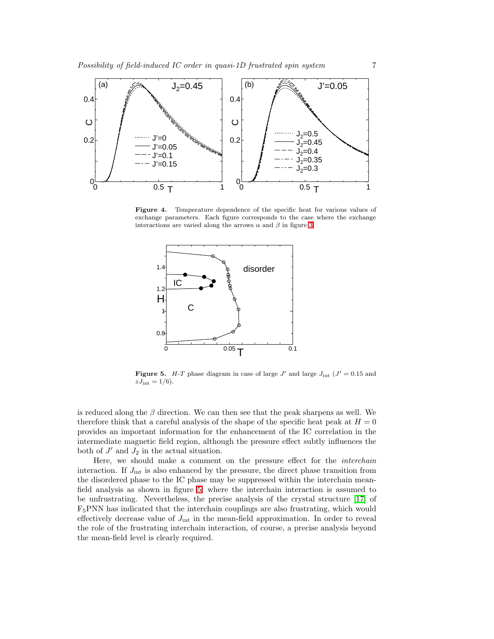

<span id="page-6-0"></span>Figure 4. Temperature dependence of the specific heat for various values of exchange parameters. Each figure corresponds to the case where the exchange interactions are varied along the arrows  $\alpha$  and  $\beta$  in figure [3.](#page-5-0)



<span id="page-6-1"></span>**Figure 5.** H-T phase diagram in case of large  $J'$  and large  $J_{int}$  ( $J' = 0.15$  and  $zJ_{\rm int} = 1/6).$ 

is reduced along the  $\beta$  direction. We can then see that the peak sharpens as well. We therefore think that a careful analysis of the shape of the specific heat peak at  $H = 0$ provides an important information for the enhancement of the IC correlation in the intermediate magnetic field region, although the pressure effect subtly influences the both of  $J'$  and  $J_2$  in the actual situation.

Here, we should make a comment on the pressure effect for the interchain interaction. If  $J_{\text{int}}$  is also enhanced by the pressure, the direct phase transition from the disordered phase to the IC phase may be suppressed within the interchain meanfield analysis as shown in figure [5,](#page-6-1) where the interchain interaction is assumed to be unfrustrating. Nevertheless, the precise analysis of the crystal structure [\[17\]](#page-8-16) of  $F_5$ PNN has indicated that the interchain couplings are also frustrating, which would effectively decrease value of  $J_{\text{int}}$  in the mean-field approximation. In order to reveal the role of the frustrating interchain interaction, of course, a precise analysis beyond the mean-field level is clearly required.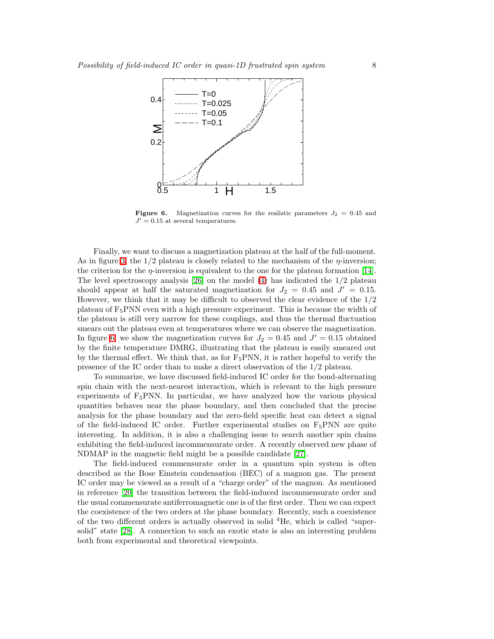

<span id="page-7-0"></span>Figure 6. Magnetization curves for the realistic parameters  $J_2 = 0.45$  and  $J' = 0.15$  at several temperatures.

Finally, we want to discuss a magnetization plateau at the half of the full-moment. As in figure [3,](#page-5-0) the  $1/2$  plateau is closely related to the mechanism of the  $\eta$ -inversion; the criterion for the  $\eta$ -inversion is equivalent to the one for the plateau formation [\[14\]](#page-8-13). The level spectroscopy analysis  $[26]$  on the model  $(4)$  has indicated the  $1/2$  plateau should appear at half the saturated magnetization for  $J_2 = 0.45$  and  $J' = 0.15$ . However, we think that it may be difficult to observed the clear evidence of the 1/2 plateau of  $F_5$ PNN even with a high pressure experiment. This is because the width of the plateau is still very narrow for these couplings, and thus the thermal fluctuation smears out the plateau even at temperatures where we can observe the magnetization. In figure [6,](#page-7-0) we show the magnetization curves for  $J_2 = 0.45$  and  $J' = 0.15$  obtained by the finite temperature DMRG, illustrating that the plateau is easily smeared out by the thermal effect. We think that, as for  $F_5PNN$ , it is rather hopeful to verify the presence of the IC order than to make a direct observation of the 1/2 plateau.

To summarize, we have discussed field-induced IC order for the bond-alternating spin chain with the next-nearest interaction, which is relevant to the high pressure experiments of  $F_5PNN$ . In particular, we have analyzed how the various physical quantities behaves near the phase boundary, and then concluded that the precise analysis for the phase boundary and the zero-field specific heat can detect a signal of the field-induced IC order. Further experimental studies on  $F_5PNN$  are quite interesting. In addition, it is also a challenging issue to search another spin chains exhibiting the field-induced incommensurate order. A recently observed new phase of NDMAP in the magnetic field might be a possible candidate [\[27\]](#page-8-26).

The field-induced commensurate order in a quantum spin system is often described as the Bose Einstein condensation (BEC) of a magnon gas. The present IC order may be viewed as a result of a "charge order" of the magnon. As mentioned in reference [\[20\]](#page-8-19) the transition between the field-induced incommensurate order and the usual commensurate antiferromagnetic one is of the first order. Then we can expect the coexistence of the two orders at the phase boundary. Recently, such a coexistence of the two different orders is actually observed in solid <sup>4</sup>He, which is called "supersolid" state [\[28\]](#page-8-27). A connection to such an exotic state is also an interesting problem both from experimental and theoretical viewpoints.